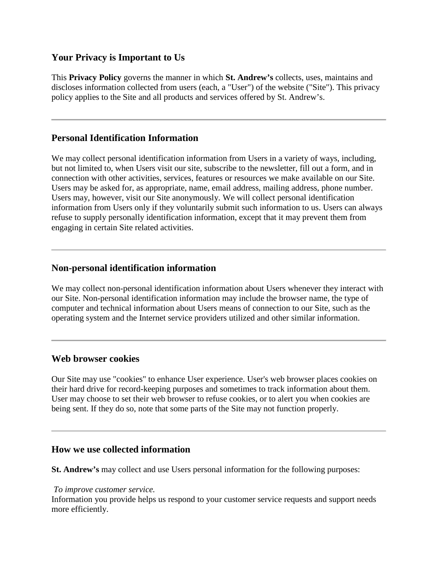# **Your Privacy is Important to Us**

This **Privacy Policy** governs the manner in which **St. Andrew's** collects, uses, maintains and discloses information collected from users (each, a "User") of the website ("Site"). This privacy policy applies to the Site and all products and services offered by St. Andrew's.

# **Personal Identification Information**

We may collect personal identification information from Users in a variety of ways, including, but not limited to, when Users visit our site, subscribe to the newsletter, fill out a form, and in connection with other activities, services, features or resources we make available on our Site. Users may be asked for, as appropriate, name, email address, mailing address, phone number. Users may, however, visit our Site anonymously. We will collect personal identification information from Users only if they voluntarily submit such information to us. Users can always refuse to supply personally identification information, except that it may prevent them from engaging in certain Site related activities.

## **Non-personal identification information**

We may collect non-personal identification information about Users whenever they interact with our Site. Non-personal identification information may include the browser name, the type of computer and technical information about Users means of connection to our Site, such as the operating system and the Internet service providers utilized and other similar information.

### **Web browser cookies**

Our Site may use "cookies" to enhance User experience. User's web browser places cookies on their hard drive for record-keeping purposes and sometimes to track information about them. User may choose to set their web browser to refuse cookies, or to alert you when cookies are being sent. If they do so, note that some parts of the Site may not function properly.

## **How we use collected information**

**St. Andrew's** may collect and use Users personal information for the following purposes:

#### *To improve customer service.*

Information you provide helps us respond to your customer service requests and support needs more efficiently.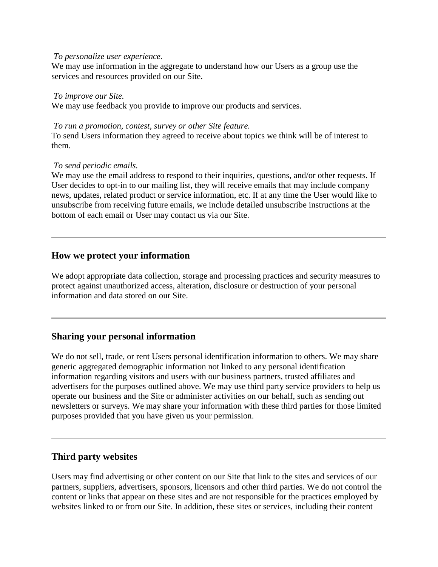#### *To personalize user experience.*

We may use information in the aggregate to understand how our Users as a group use the services and resources provided on our Site.

#### *To improve our Site.*

We may use feedback you provide to improve our products and services.

#### *To run a promotion, contest, survey or other Site feature.*

To send Users information they agreed to receive about topics we think will be of interest to them.

#### *To send periodic emails.*

We may use the email address to respond to their inquiries, questions, and/or other requests. If User decides to opt-in to our mailing list, they will receive emails that may include company news, updates, related product or service information, etc. If at any time the User would like to unsubscribe from receiving future emails, we include detailed unsubscribe instructions at the bottom of each email or User may contact us via our Site.

## **How we protect your information**

We adopt appropriate data collection, storage and processing practices and security measures to protect against unauthorized access, alteration, disclosure or destruction of your personal information and data stored on our Site.

## **Sharing your personal information**

We do not sell, trade, or rent Users personal identification information to others. We may share generic aggregated demographic information not linked to any personal identification information regarding visitors and users with our business partners, trusted affiliates and advertisers for the purposes outlined above. We may use third party service providers to help us operate our business and the Site or administer activities on our behalf, such as sending out newsletters or surveys. We may share your information with these third parties for those limited purposes provided that you have given us your permission.

# **Third party websites**

Users may find advertising or other content on our Site that link to the sites and services of our partners, suppliers, advertisers, sponsors, licensors and other third parties. We do not control the content or links that appear on these sites and are not responsible for the practices employed by websites linked to or from our Site. In addition, these sites or services, including their content